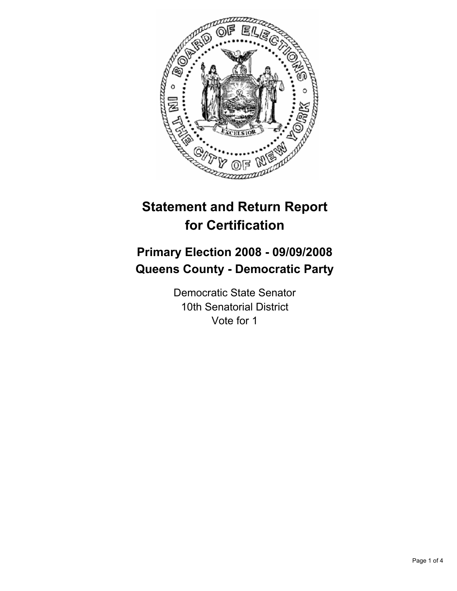

# **Statement and Return Report for Certification**

# **Primary Election 2008 - 09/09/2008 Queens County - Democratic Party**

Democratic State Senator 10th Senatorial District Vote for 1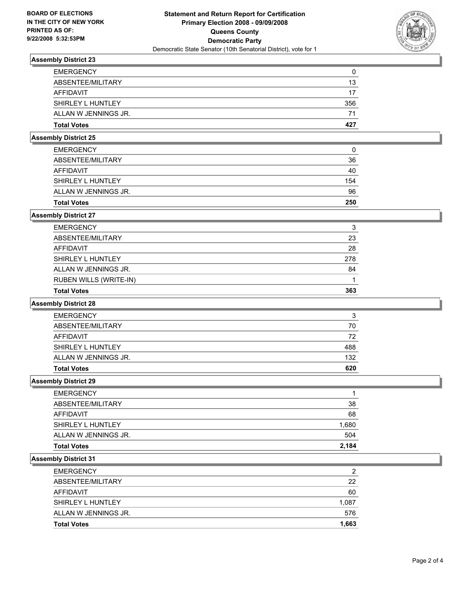

# **Assembly District 23**

| U   |
|-----|
| 13  |
| 17  |
| 356 |
| 71  |
| 427 |
|     |

#### **Assembly District 25**

| <b>EMERGENCY</b>     | 0   |
|----------------------|-----|
| ABSENTEE/MILITARY    | 36  |
| AFFIDAVIT            | 40  |
| SHIRLEY L HUNTLEY    | 154 |
| ALLAN W JENNINGS JR. | 96  |
| <b>Total Votes</b>   | 250 |

# **Assembly District 27**

| <b>Total Votes</b>            | 363 |
|-------------------------------|-----|
| <b>RUBEN WILLS (WRITE-IN)</b> |     |
| ALLAN W JENNINGS JR.          | 84  |
| SHIRLEY L HUNTLEY             | 278 |
| AFFIDAVIT                     | 28  |
| ABSENTEE/MILITARY             | 23  |
| <b>EMERGENCY</b>              | 3   |

#### **Assembly District 28**

| <b>EMERGENCY</b>     | ີ   |
|----------------------|-----|
| ABSENTEE/MILITARY    | 70  |
| AFFIDAVIT            | 72  |
| SHIRLEY L HUNTLEY    | 488 |
| ALLAN W JENNINGS JR. | 132 |
| <b>Total Votes</b>   | 620 |

**Assembly District 29**

| <b>Total Votes</b>   | 2,184 |
|----------------------|-------|
| ALLAN W JENNINGS JR. | 504   |
| SHIRLEY L HUNTLEY    | 1,680 |
| <b>AFFIDAVIT</b>     | 68    |
| ABSENTEE/MILITARY    | 38    |
| <b>EMERGENCY</b>     |       |

# **Assembly District 31**

| <b>Total Votes</b>   | 1,663 |
|----------------------|-------|
| ALLAN W JENNINGS JR. | 576   |
| SHIRLEY L HUNTLEY    | 1,087 |
| AFFIDAVIT            | 60    |
| ABSENTEE/MILITARY    | 22    |
| <b>EMERGENCY</b>     | 2     |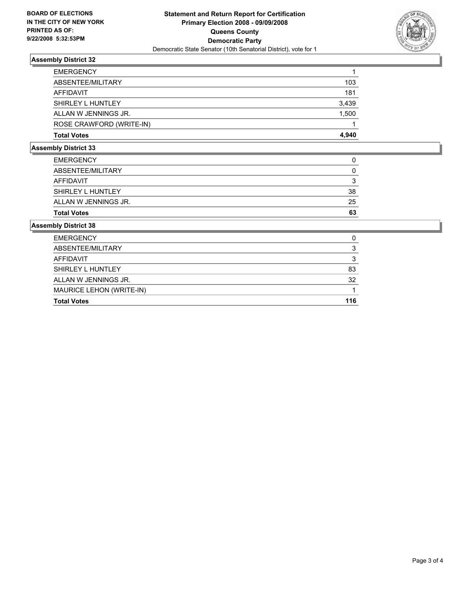

# **Assembly District 32**

| <b>EMERGENCY</b>         |       |
|--------------------------|-------|
| ABSENTEE/MILITARY        | 103   |
| AFFIDAVIT                | 181   |
| SHIRLEY L HUNTLEY        | 3,439 |
| ALLAN W JENNINGS JR.     | 1,500 |
| ROSE CRAWFORD (WRITE-IN) |       |
| <b>Total Votes</b>       | 4,940 |

#### **Assembly District 33**

| <b>Total Votes</b>   | 63 |
|----------------------|----|
| ALLAN W JENNINGS JR. | 25 |
| SHIRLEY L HUNTLEY    | 38 |
| AFFIDAVIT            |    |
| ABSENTEE/MILITARY    |    |
| <b>EMERGENCY</b>     |    |

#### **Assembly District 38**

| <b>Total Votes</b>       | 116 |
|--------------------------|-----|
| MAURICE LEHON (WRITE-IN) |     |
| ALLAN W JENNINGS JR.     | 32  |
| SHIRLEY L HUNTLEY        | 83  |
| AFFIDAVIT                | າ   |
| ABSENTEE/MILITARY        |     |
| <b>EMERGENCY</b>         |     |